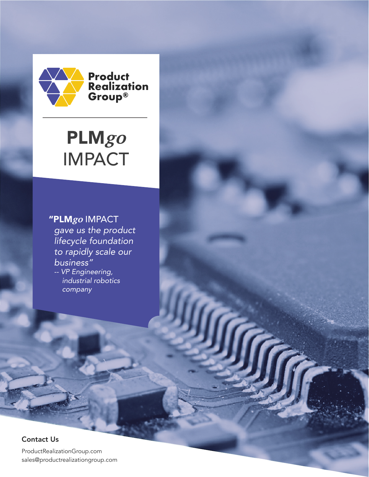

# PLM**go** IMPACT

# "PLM**go** IMPACT

*gave us the product lifecycle foundation to rapidly scale our business" -- VP Engineering, industrial robotics company*

#### Contact Us

ProductRealizationGroup.com sales@productrealizationgroup.com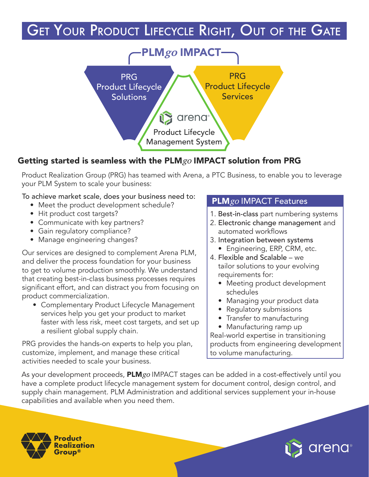# **GET YOUR PRODUCT LIFECYCLE RIGHT, OUT OF THE GATE**



# Getting started is seamless with the PLM $go$  IMPACT solution from PRG

Product Realization Group (PRG) has teamed with Arena, a PTC Business, to enable you to leverage your PLM System to scale your business:

#### To achieve market scale, does your business need to:

- Meet the product development schedule?
- Hit product cost targets?
- Communicate with key partners?
- Gain regulatory compliance?
- Manage engineering changes?

Our services are designed to complement Arena PLM, and deliver the process foundation for your business to get to volume production smoothly. We understand that creating best-in-class business processes requires significant effort, and can distract you from focusing on product commercialization.

• Complementary Product Lifecycle Management services help you get your product to market faster with less risk, meet cost targets, and set up a resilient global supply chain.

PRG provides the hands-on experts to help you plan, customize, implement, and manage these critical activities needed to scale your business.

## PLM<sub>go</sub> IMPACT Features

- 1. Best-in-class part numbering systems
- 2. Electronic change management and automated workflows
- 3. Integration between systems • Engineering, ERP, CRM, etc.
- 4. Flexible and Scalable we tailor solutions to your evolving requirements for:
	- Meeting product development schedules
	- Managing your product data
	- Regulatory submissions
	- Transfer to manufacturing • Manufacturing ramp up

Real-world expertise in transitioning products from engineering development to volume manufacturing.

As your development proceeds, **PLM***go* IMPACT stages can be added in a cost-effectively until you have a complete product lifecycle management system for document control, design control, and supply chain management. PLM Administration and additional services supplement your in-house capabilities and available when you need them.